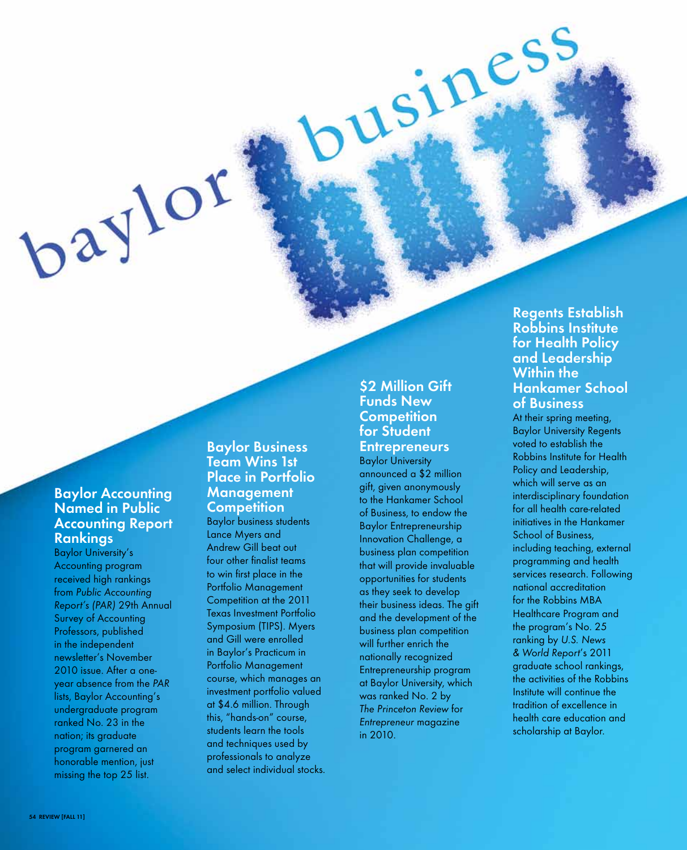## **Baylor Accounting Named in Public Accounting Report Rankings**

baylor

Baylor University's Accounting program received high rankings from Public Accounting Report's (PAR) 29th Annual Survey of Accounting Professors, published in the independent newsletter's November 2010 issue. After a oneyear absence from the PAR lists, Baylor Accounting's undergraduate program ranked No. 23 in the nation; its graduate program garnered an honorable mention, just missing the top 25 list.

## **Baylor Business Team Wins 1st Place in Portfolio Management Competition**

Baylor business students Lance Myers and Andrew Gill beat out four other finalist teams to win first place in the Portfolio Management Competition at the 2011 Texas Investment Portfolio Symposium (TIPS). Myers and Gill were enrolled in Baylor's Practicum in Portfolio Management course, which manages an investment portfolio valued at \$4.6 million. Through this, "hands-on" course, students learn the tools and techniques used by professionals to analyze and select individual stocks.

#### **\$2 Million Gift Funds New Competition for Student Entrepreneurs**  Baylor University

USINES!

announced a \$2 million gift, given anonymously to the Hankamer School of Business, to endow the Baylor Entrepreneurship Innovation Challenge, a business plan competition that will provide invaluable opportunities for students as they seek to develop their business ideas. The gift and the development of the business plan competition will further enrich the nationally recognized Entrepreneurship program at Baylor University, which was ranked No. 2 by The Princeton Review for Entrepreneur magazine in 2010.

# **Regents Establish Robbins Institute for Health Policy and Leadership Within the Hankamer School of Business**

At their spring meeting, Baylor University Regents voted to establish the Robbins Institute for Health Policy and Leadership, which will serve as an interdisciplinary foundation for all health care-related initiatives in the Hankamer School of Business, including teaching, external programming and health services research. Following national accreditation for the Robbins MBA Healthcare Program and the program's No. 25 ranking by U.S. News & World Report's 2011 graduate school rankings, the activities of the Robbins Institute will continue the tradition of excellence in health care education and scholarship at Baylor.